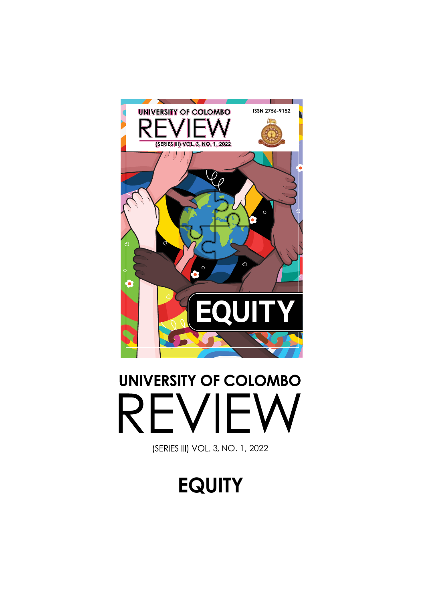

# **UNIVERSITY OF COLOMBO** REVIE

(SERIES III) VOL. 3, NO. 1, 2022

**EQUITY**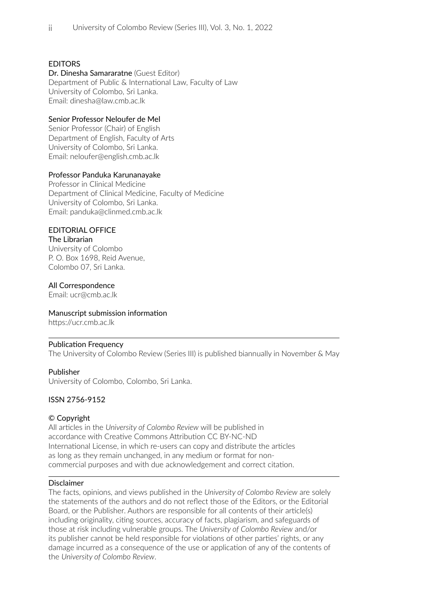## **EDITORS**

#### Dr. Dinesha Samararatne (Guest Editor)

Department of Public & International Law, Faculty of Law University of Colombo, Sri Lanka. Email: dinesha@law.cmb.ac.lk

#### Senior Professor Neloufer de Mel

Senior Professor (Chair) of English Department of English, Faculty of Arts University of Colombo, Sri Lanka. Email: neloufer@english.cmb.ac.lk

#### Professor Panduka Karunanayake

Professor in Clinical Medicine Department of Clinical Medicine, Faculty of Medicine University of Colombo, Sri Lanka. Email: panduka@clinmed.cmb.ac.lk

## EDITORIAL OFFICE

The Librarian

University of Colombo P. O. Box 1698, Reid Avenue, Colombo 07, Sri Lanka.

#### All Correspondence

Email: ucr@cmb.ac.lk

#### Manuscript submission information

https://ucr.cmb.ac.lk

#### Publication Frequency

The University of Colombo Review (Series III) is published biannually in November & May

#### Publisher

University of Colombo, Colombo, Sri Lanka.

## ISSN 2756-9152

#### © Copyright

All articles in the *University of Colombo Review* will be published in accordance with Creative Commons Attribution CC BY-NC-ND International License, in which re-users can copy and distribute the articles as long as they remain unchanged, in any medium or format for noncommercial purposes and with due acknowledgement and correct citation.

#### Disclaimer

The facts, opinions, and views published in the *University of Colombo Review* are solely the statements of the authors and do not reflect those of the Editors, or the Editorial Board, or the Publisher. Authors are responsible for all contents of their article(s) including originality, citing sources, accuracy of facts, plagiarism, and safeguards of those at risk including vulnerable groups. The *University of Colombo Review* and/or its publisher cannot be held responsible for violations of other parties' rights, or any damage incurred as a consequence of the use or application of any of the contents of the *University of Colombo Review*.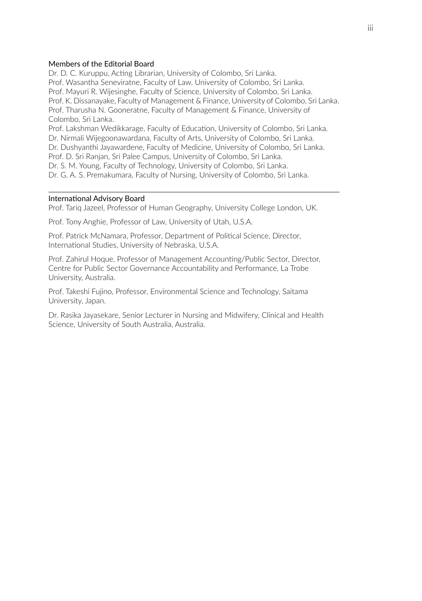#### Members of the Editorial Board

Dr. D. C. Kuruppu, Acting Librarian, University of Colombo, Sri Lanka. Prof. Wasantha Seneviratne, Faculty of Law, University of Colombo, Sri Lanka. Prof. Mayuri R. Wijesinghe, Faculty of Science, University of Colombo, Sri Lanka. Prof. K. Dissanayake, Faculty of Management & Finance, University of Colombo, Sri Lanka. Prof. Tharusha N. Gooneratne, Faculty of Management & Finance, University of Colombo, Sri Lanka.

Prof. Lakshman Wedikkarage, Faculty of Education, University of Colombo, Sri Lanka. Dr. Nirmali Wijegoonawardana, Faculty of Arts, University of Colombo, Sri Lanka. Dr. Dushyanthi Jayawardene, Faculty of Medicine, University of Colombo, Sri Lanka. Prof. D. Sri Ranjan, Sri Palee Campus, University of Colombo, Sri Lanka. Dr. S. M. Young, Faculty of Technology, University of Colombo, Sri Lanka. Dr. G. A. S. Premakumara, Faculty of Nursing, University of Colombo, Sri Lanka.

#### International Advisory Board

Prof. Tariq Jazeel, Professor of Human Geography, University College London, UK.

Prof. Tony Anghie, Professor of Law, University of Utah, U.S.A.

Prof. Patrick McNamara, Professor, Department of Political Science, Director, International Studies, University of Nebraska, U.S.A.

Prof. Zahirul Hoque, Professor of Management Accounting/Public Sector, Director, Centre for Public Sector Governance Accountability and Performance, La Trobe University, Australia.

Prof. Takeshi Fujino, Professor, Environmental Science and Technology, Saitama University, Japan.

Dr. Rasika Jayasekare, Senior Lecturer in Nursing and Midwifery, Clinical and Health Science, University of South Australia, Australia.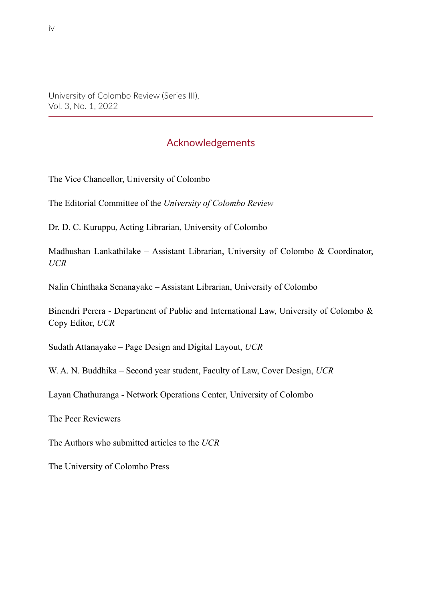University of Colombo Review (Series III), Vol. 3, No. 1, 2022

# Acknowledgements

The Vice Chancellor, University of Colombo

The Editorial Committee of the *University of Colombo Review*

Dr. D. C. Kuruppu, Acting Librarian, University of Colombo

Madhushan Lankathilake – Assistant Librarian, University of Colombo & Coordinator, *UCR*

Nalin Chinthaka Senanayake – Assistant Librarian, University of Colombo

Binendri Perera - Department of Public and International Law, University of Colombo & Copy Editor, *UCR*

Sudath Attanayake – Page Design and Digital Layout, *UCR*

W. A. N. Buddhika – Second year student, Faculty of Law, Cover Design, *UCR*

Layan Chathuranga - Network Operations Center, University of Colombo

The Peer Reviewers

The Authors who submitted articles to the *UCR*

The University of Colombo Press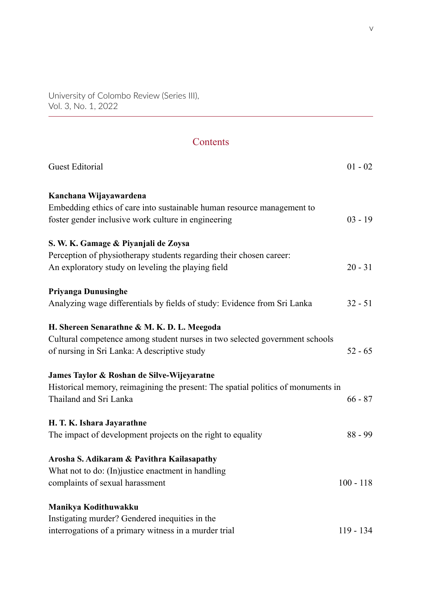University of Colombo Review (Series III), Vol. 3, No. 1, 2022

# Contents

| Guest Editorial                                                                  | $01 - 02$   |
|----------------------------------------------------------------------------------|-------------|
| Kanchana Wijayawardena                                                           |             |
| Embedding ethics of care into sustainable human resource management to           |             |
| foster gender inclusive work culture in engineering                              | $03 - 19$   |
| S. W. K. Gamage & Piyanjali de Zoysa                                             |             |
| Perception of physiotherapy students regarding their chosen career:              |             |
| An exploratory study on leveling the playing field                               | $20 - 31$   |
| Priyanga Dunusinghe                                                              |             |
| Analyzing wage differentials by fields of study: Evidence from Sri Lanka         | $32 - 51$   |
| H. Shereen Senarathne & M. K. D. L. Meegoda                                      |             |
| Cultural competence among student nurses in two selected government schools      |             |
| of nursing in Sri Lanka: A descriptive study                                     | $52 - 65$   |
| James Taylor & Roshan de Silve-Wijeyaratne                                       |             |
| Historical memory, reimagining the present: The spatial politics of monuments in |             |
| Thailand and Sri Lanka                                                           | $66 - 87$   |
| H. T. K. Ishara Jayarathne                                                       |             |
| The impact of development projects on the right to equality                      | $88 - 99$   |
| Arosha S. Adikaram & Pavithra Kailasapathy                                       |             |
| What not to do: (In)justice enactment in handling                                |             |
| complaints of sexual harassment                                                  | $100 - 118$ |
| Manikya Kodithuwakku                                                             |             |
| Instigating murder? Gendered inequities in the                                   |             |
| interrogations of a primary witness in a murder trial                            | 119 - 134   |